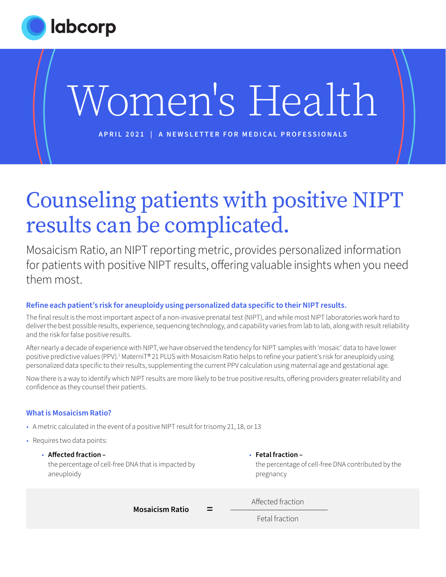

# Women's Health

**APRIL 2021 | A NEWSLETTER FOR MEDICAL PROFESSIONALS**

# Counseling patients with positive NIPT results can be complicated.

Mosaicism Ratio, an NIPT reporting metric, provides personalized information for patients with positive NIPT results, offering valuable insights when you need them most.

## **Refine each patient's risk for aneuploidy using personalized data specific to their NIPT results.**

The final result is the most important aspect of a non-invasive prenatal test (NIPT), and while most NIPT laboratories work hard to deliver the best possible results, experience, sequencing technology, and capability varies from lab to lab, along with result reliability and the risk for false positive results.

After nearly a decade of experience with NIPT, we have observed the tendency for NIPT samples with 'mosaic' data to have lower positive predictive values (PPV).<sup>1</sup> MaterniT® 21 PLUS with Mosaicism Ratio helps to refine your patient's risk for aneuploidy using personalized data specific to their results, supplementing the current PPV calculation using maternal age and gestational age.

Now there is a way to identify which NIPT results are more likely to be true positive results, offering providers greater reliability and confidence as they counsel their patients.

## **What is Mosaicism Ratio?**

- A metric calculated in the event of a positive NIPT result for trisomy 21, 18, or 13
- Requires two data points:
	- **Affected fraction –** the percentage of cell-free DNA that is impacted by aneuploidy
- **Fetal fraction –** the percentage of cell-free DNA contributed by the pregnancy

**Mosaicism Ratio =**

Affected fraction

Fetal fraction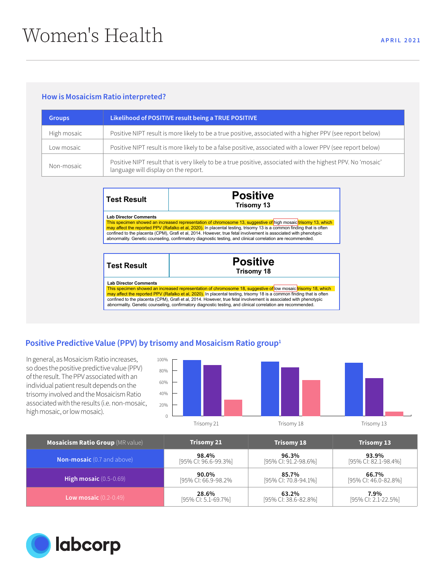### **How is Mosaicism Ratio interpreted?**

| <b>Groups</b> | Likelihood of POSITIVE result being a TRUE POSITIVE                                                                                                  |
|---------------|------------------------------------------------------------------------------------------------------------------------------------------------------|
| High mosaic   | Positive NIPT result is more likely to be a true positive, associated with a higher PPV (see report below)                                           |
| Low mosaic    | Positive NIPT result is more likely to be a false positive, associated with a lower PPV (see report below)                                           |
| Non-mosaic    | Positive NIPT result that is very likely to be a true positive, associated with the highest PPV. No 'mosaic'<br>language will display on the report. |



# **Positive Predictive Value (PPV) by trisomy and Mosaicism Ratio group1**

In general, as Mosaicism Ratio increases, so does the positive predictive value (PPV) of the result. The PPV associated with an individual patient result depends on the trisomy involved and the Mosaicism Ratio associated with the results (i.e. non-mosaic, high mosaic, or low mosaic).



| <b>Mosaicism Ratio Group (MR value)</b> | <b>Trisomy 21</b>    | <b>Trisomy 18</b>    | <b>Trisomy 13</b>    |
|-----------------------------------------|----------------------|----------------------|----------------------|
| <b>Non-mosaic</b> (0.7 and above)       | 98.4%                | 96.3%                | 93.9%                |
|                                         | [95% CI: 96.6-99.3%] | [95% CI: 91.2-98.6%] | [95% CI: 82.1-98.4%] |
| <b>High mosaic</b> $(0.5-0.69)$         | 90.0%                | 85.7%                | 66.7%                |
|                                         | [95% CI: 66.9-98.2%  | [95% CI: 70.8-94.1%] | [95% CI: 46.0-82.8%] |
| <b>Low mosaic</b> $(0.2 - 0.49)$        | 28.6%                | 63.2%                | 7.9%                 |
|                                         | [95% CI: 5.1-69.7%]  | [95% CI: 38.6-82.8%] | [95% CI: 2.1-22.5%]  |